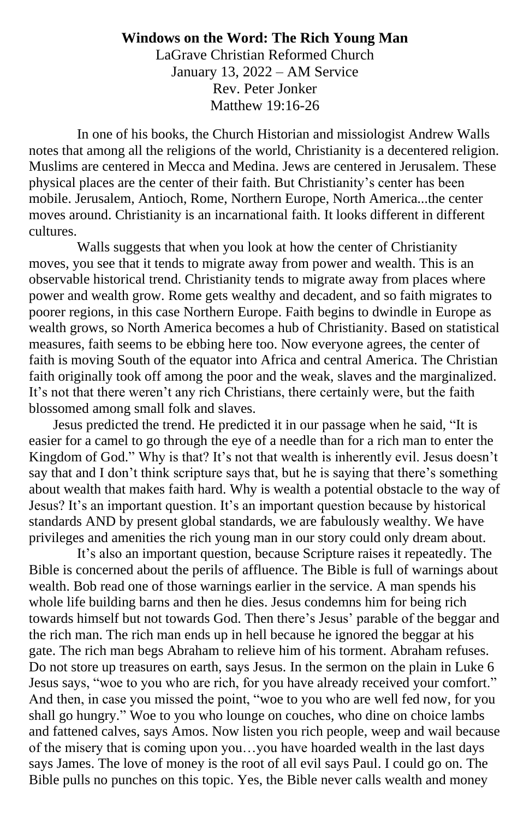## **Windows on the Word: The Rich Young Man**

LaGrave Christian Reformed Church January 13, 2022 – AM Service Rev. Peter Jonker Matthew 19:16-26

In one of his books, the Church Historian and missiologist Andrew Walls notes that among all the religions of the world, Christianity is a decentered religion. Muslims are centered in Mecca and Medina. Jews are centered in Jerusalem. These physical places are the center of their faith. But Christianity's center has been mobile. Jerusalem, Antioch, Rome, Northern Europe, North America...the center moves around. Christianity is an incarnational faith. It looks different in different cultures.

Walls suggests that when you look at how the center of Christianity moves, you see that it tends to migrate away from power and wealth. This is an observable historical trend. Christianity tends to migrate away from places where power and wealth grow. Rome gets wealthy and decadent, and so faith migrates to poorer regions, in this case Northern Europe. Faith begins to dwindle in Europe as wealth grows, so North America becomes a hub of Christianity. Based on statistical measures, faith seems to be ebbing here too. Now everyone agrees, the center of faith is moving South of the equator into Africa and central America. The Christian faith originally took off among the poor and the weak, slaves and the marginalized. It's not that there weren't any rich Christians, there certainly were, but the faith blossomed among small folk and slaves.

Jesus predicted the trend. He predicted it in our passage when he said, "It is easier for a camel to go through the eye of a needle than for a rich man to enter the Kingdom of God." Why is that? It's not that wealth is inherently evil. Jesus doesn't say that and I don't think scripture says that, but he is saying that there's something about wealth that makes faith hard. Why is wealth a potential obstacle to the way of Jesus? It's an important question. It's an important question because by historical standards AND by present global standards, we are fabulously wealthy. We have privileges and amenities the rich young man in our story could only dream about.

It's also an important question, because Scripture raises it repeatedly. The Bible is concerned about the perils of affluence. The Bible is full of warnings about wealth. Bob read one of those warnings earlier in the service. A man spends his whole life building barns and then he dies. Jesus condemns him for being rich towards himself but not towards God. Then there's Jesus' parable of the beggar and the rich man. The rich man ends up in hell because he ignored the beggar at his gate. The rich man begs Abraham to relieve him of his torment. Abraham refuses. Do not store up treasures on earth, says Jesus. In the sermon on the plain in Luke 6 Jesus says, "woe to you who are rich, for you have already received your comfort." And then, in case you missed the point, "woe to you who are well fed now, for you shall go hungry." Woe to you who lounge on couches, who dine on choice lambs and fattened calves, says Amos. Now listen you rich people, weep and wail because of the misery that is coming upon you…you have hoarded wealth in the last days says James. The love of money is the root of all evil says Paul. I could go on. The Bible pulls no punches on this topic. Yes, the Bible never calls wealth and money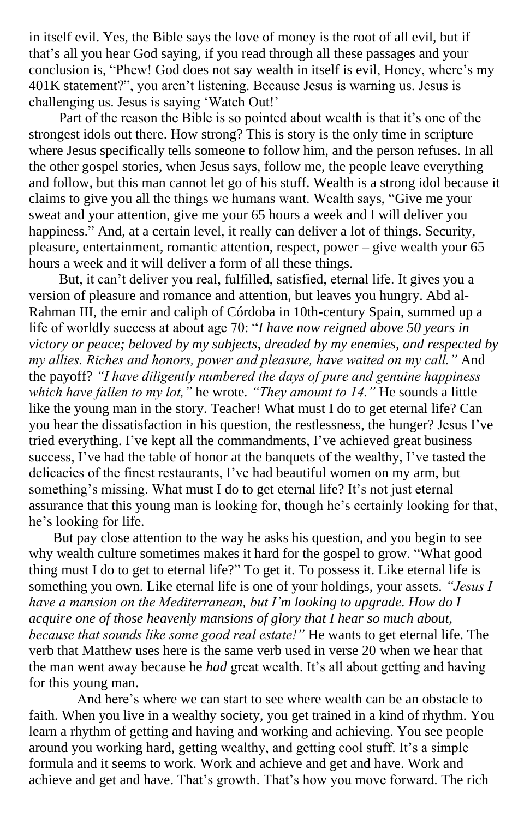in itself evil. Yes, the Bible says the love of money is the root of all evil, but if that's all you hear God saying, if you read through all these passages and your conclusion is, "Phew! God does not say wealth in itself is evil, Honey, where's my 401K statement?", you aren't listening. Because Jesus is warning us. Jesus is challenging us. Jesus is saying 'Watch Out!'

Part of the reason the Bible is so pointed about wealth is that it's one of the strongest idols out there. How strong? This is story is the only time in scripture where Jesus specifically tells someone to follow him, and the person refuses. In all the other gospel stories, when Jesus says, follow me, the people leave everything and follow, but this man cannot let go of his stuff. Wealth is a strong idol because it claims to give you all the things we humans want. Wealth says, "Give me your sweat and your attention, give me your 65 hours a week and I will deliver you happiness." And, at a certain level, it really can deliver a lot of things. Security, pleasure, entertainment, romantic attention, respect, power – give wealth your 65 hours a week and it will deliver a form of all these things.

But, it can't deliver you real, fulfilled, satisfied, eternal life. It gives you a version of pleasure and romance and attention, but leaves you hungry. Abd al-Rahman III, the emir and caliph of Córdoba in 10th-century Spain, summed up a life of worldly success at about age 70: "*I have now reigned above 50 years in victory or peace; beloved by my subjects, dreaded by my enemies, and respected by my allies. Riches and honors, power and pleasure, have waited on my call."* And the payoff? *"I have diligently numbered the days of pure and genuine happiness which have fallen to my lot,"* he wrote*. "They amount to 14."* He sounds a little like the young man in the story. Teacher! What must I do to get eternal life? Can you hear the dissatisfaction in his question, the restlessness, the hunger? Jesus I've tried everything. I've kept all the commandments, I've achieved great business success, I've had the table of honor at the banquets of the wealthy, I've tasted the delicacies of the finest restaurants, I've had beautiful women on my arm, but something's missing. What must I do to get eternal life? It's not just eternal assurance that this young man is looking for, though he's certainly looking for that, he's looking for life.

But pay close attention to the way he asks his question, and you begin to see why wealth culture sometimes makes it hard for the gospel to grow. "What good thing must I do to get to eternal life?" To get it. To possess it. Like eternal life is something you own. Like eternal life is one of your holdings, your assets. *"Jesus I have a mansion on the Mediterranean, but I'm looking to upgrade. How do I acquire one of those heavenly mansions of glory that I hear so much about, because that sounds like some good real estate!"* He wants to get eternal life. The verb that Matthew uses here is the same verb used in verse 20 when we hear that the man went away because he *had* great wealth. It's all about getting and having for this young man.

And here's where we can start to see where wealth can be an obstacle to faith. When you live in a wealthy society, you get trained in a kind of rhythm. You learn a rhythm of getting and having and working and achieving. You see people around you working hard, getting wealthy, and getting cool stuff. It's a simple formula and it seems to work. Work and achieve and get and have. Work and achieve and get and have. That's growth. That's how you move forward. The rich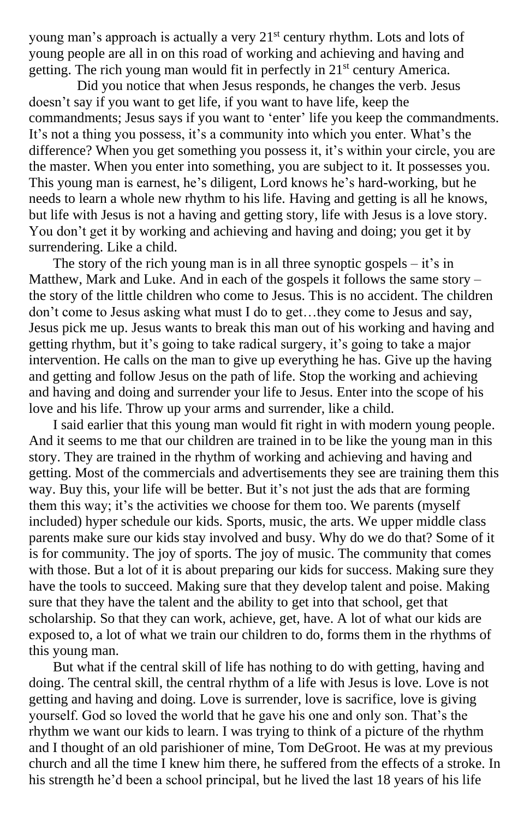young man's approach is actually a very  $21<sup>st</sup>$  century rhythm. Lots and lots of young people are all in on this road of working and achieving and having and getting. The rich young man would fit in perfectly in 21st century America.

Did you notice that when Jesus responds, he changes the verb. Jesus doesn't say if you want to get life, if you want to have life, keep the commandments; Jesus says if you want to 'enter' life you keep the commandments. It's not a thing you possess, it's a community into which you enter. What's the difference? When you get something you possess it, it's within your circle, you are the master. When you enter into something, you are subject to it. It possesses you. This young man is earnest, he's diligent, Lord knows he's hard-working, but he needs to learn a whole new rhythm to his life. Having and getting is all he knows, but life with Jesus is not a having and getting story, life with Jesus is a love story. You don't get it by working and achieving and having and doing; you get it by surrendering. Like a child.

The story of the rich young man is in all three synoptic gospels  $-$  it's in Matthew, Mark and Luke. And in each of the gospels it follows the same story – the story of the little children who come to Jesus. This is no accident. The children don't come to Jesus asking what must I do to get…they come to Jesus and say, Jesus pick me up. Jesus wants to break this man out of his working and having and getting rhythm, but it's going to take radical surgery, it's going to take a major intervention. He calls on the man to give up everything he has. Give up the having and getting and follow Jesus on the path of life. Stop the working and achieving and having and doing and surrender your life to Jesus. Enter into the scope of his love and his life. Throw up your arms and surrender, like a child.

I said earlier that this young man would fit right in with modern young people. And it seems to me that our children are trained in to be like the young man in this story. They are trained in the rhythm of working and achieving and having and getting. Most of the commercials and advertisements they see are training them this way. Buy this, your life will be better. But it's not just the ads that are forming them this way; it's the activities we choose for them too. We parents (myself included) hyper schedule our kids. Sports, music, the arts. We upper middle class parents make sure our kids stay involved and busy. Why do we do that? Some of it is for community. The joy of sports. The joy of music. The community that comes with those. But a lot of it is about preparing our kids for success. Making sure they have the tools to succeed. Making sure that they develop talent and poise. Making sure that they have the talent and the ability to get into that school, get that scholarship. So that they can work, achieve, get, have. A lot of what our kids are exposed to, a lot of what we train our children to do, forms them in the rhythms of this young man.

But what if the central skill of life has nothing to do with getting, having and doing. The central skill, the central rhythm of a life with Jesus is love. Love is not getting and having and doing. Love is surrender, love is sacrifice, love is giving yourself. God so loved the world that he gave his one and only son. That's the rhythm we want our kids to learn. I was trying to think of a picture of the rhythm and I thought of an old parishioner of mine, Tom DeGroot. He was at my previous church and all the time I knew him there, he suffered from the effects of a stroke. In his strength he'd been a school principal, but he lived the last 18 years of his life